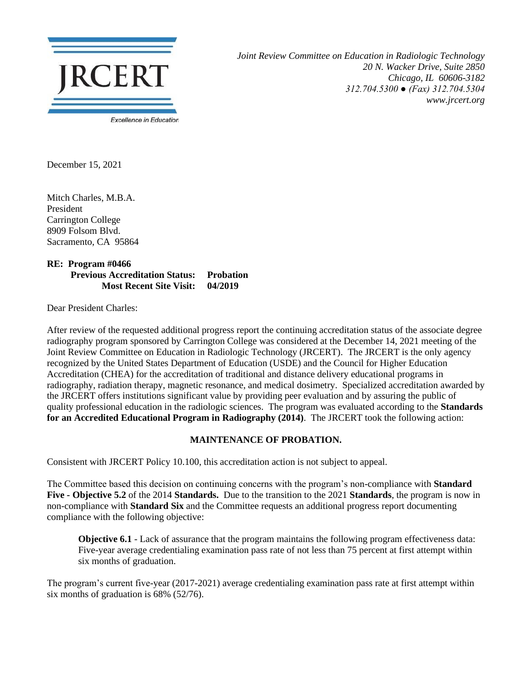

*Joint Review Committee on Education in Radiologic Technology 20 N. Wacker Drive, Suite 2850 Chicago, IL 60606-3182 312.704.5300 ● (Fax) 312.704.5304 www.jrcert.org*

December 15, 2021

Mitch Charles, M.B.A. President Carrington College 8909 Folsom Blvd. Sacramento, CA 95864

**RE: Program #0466 Previous Accreditation Status: Probation Most Recent Site Visit: 04/2019**

Dear President Charles:

After review of the requested additional progress report the continuing accreditation status of the associate degree radiography program sponsored by Carrington College was considered at the December 14, 2021 meeting of the Joint Review Committee on Education in Radiologic Technology (JRCERT). The JRCERT is the only agency recognized by the United States Department of Education (USDE) and the Council for Higher Education Accreditation (CHEA) for the accreditation of traditional and distance delivery educational programs in radiography, radiation therapy, magnetic resonance, and medical dosimetry. Specialized accreditation awarded by the JRCERT offers institutions significant value by providing peer evaluation and by assuring the public of quality professional education in the radiologic sciences. The program was evaluated according to the **Standards for an Accredited Educational Program in Radiography (2014)**. The JRCERT took the following action:

## **MAINTENANCE OF PROBATION.**

Consistent with JRCERT Policy 10.100, this accreditation action is not subject to appeal.

The Committee based this decision on continuing concerns with the program's non-compliance with **Standard Five - Objective 5.2** of the 2014 **Standards.** Due to the transition to the 2021 **Standards**, the program is now in non-compliance with **Standard Six** and the Committee requests an additional progress report documenting compliance with the following objective:

**Objective 6.1** - Lack of assurance that the program maintains the following program effectiveness data: Five-year average credentialing examination pass rate of not less than 75 percent at first attempt within six months of graduation.

The program's current five-year (2017-2021) average credentialing examination pass rate at first attempt within six months of graduation is 68% (52/76).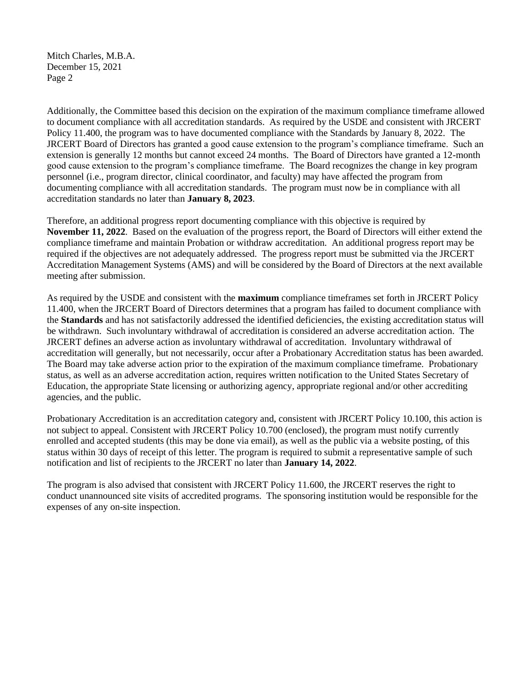Mitch Charles, M.B.A. December 15, 2021 Page 2

Additionally, the Committee based this decision on the expiration of the maximum compliance timeframe allowed to document compliance with all accreditation standards. As required by the USDE and consistent with JRCERT Policy 11.400, the program was to have documented compliance with the Standards by January 8, 2022. The JRCERT Board of Directors has granted a good cause extension to the program's compliance timeframe. Such an extension is generally 12 months but cannot exceed 24 months. The Board of Directors have granted a 12-month good cause extension to the program's compliance timeframe. The Board recognizes the change in key program personnel (i.e., program director, clinical coordinator, and faculty) may have affected the program from documenting compliance with all accreditation standards. The program must now be in compliance with all accreditation standards no later than **January 8, 2023**.

Therefore, an additional progress report documenting compliance with this objective is required by **November 11, 2022**. Based on the evaluation of the progress report, the Board of Directors will either extend the compliance timeframe and maintain Probation or withdraw accreditation. An additional progress report may be required if the objectives are not adequately addressed. The progress report must be submitted via the JRCERT Accreditation Management Systems (AMS) and will be considered by the Board of Directors at the next available meeting after submission.

As required by the USDE and consistent with the **maximum** compliance timeframes set forth in JRCERT Policy 11.400, when the JRCERT Board of Directors determines that a program has failed to document compliance with the **Standards** and has not satisfactorily addressed the identified deficiencies, the existing accreditation status will be withdrawn. Such involuntary withdrawal of accreditation is considered an adverse accreditation action. The JRCERT defines an adverse action as involuntary withdrawal of accreditation. Involuntary withdrawal of accreditation will generally, but not necessarily, occur after a Probationary Accreditation status has been awarded. The Board may take adverse action prior to the expiration of the maximum compliance timeframe. Probationary status, as well as an adverse accreditation action, requires written notification to the United States Secretary of Education, the appropriate State licensing or authorizing agency, appropriate regional and/or other accrediting agencies, and the public.

Probationary Accreditation is an accreditation category and, consistent with JRCERT Policy 10.100, this action is not subject to appeal. Consistent with JRCERT Policy 10.700 (enclosed), the program must notify currently enrolled and accepted students (this may be done via email), as well as the public via a website posting, of this status within 30 days of receipt of this letter. The program is required to submit a representative sample of such notification and list of recipients to the JRCERT no later than **January 14, 2022**.

The program is also advised that consistent with JRCERT Policy 11.600, the JRCERT reserves the right to conduct unannounced site visits of accredited programs. The sponsoring institution would be responsible for the expenses of any on-site inspection.